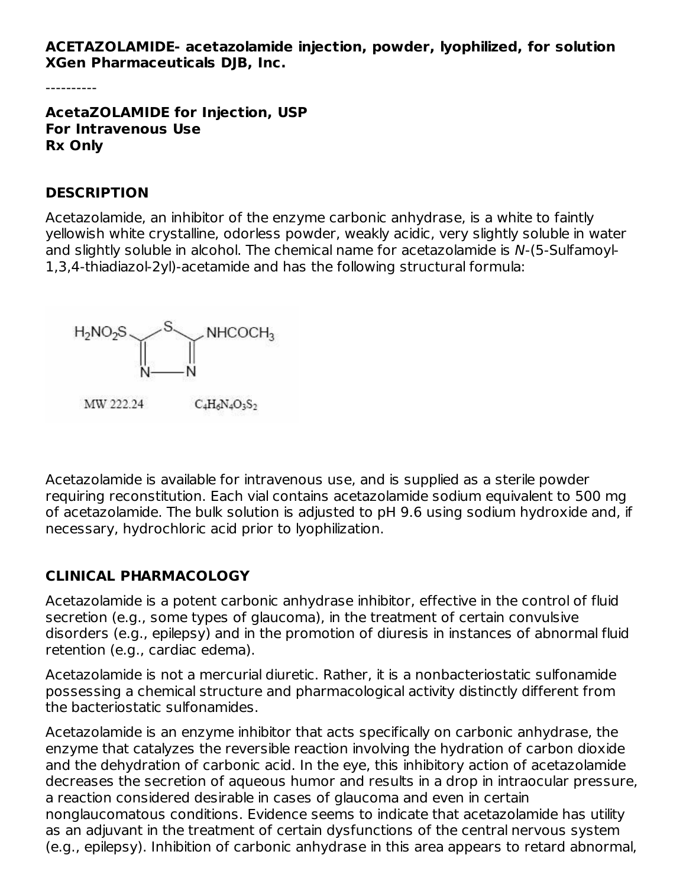**ACETAZOLAMIDE- acetazolamide injection, powder, lyophilized, for solution XGen Pharmaceuticals DJB, Inc.**

----------

**AcetaZOLAMIDE for Injection, USP For Intravenous Use Rx Only**

#### **DESCRIPTION**

Acetazolamide, an inhibitor of the enzyme carbonic anhydrase, is a white to faintly yellowish white crystalline, odorless powder, weakly acidic, very slightly soluble in water and slightly soluble in alcohol. The chemical name for acetazolamide is N-(5-Sulfamoyl-1,3,4-thiadiazol-2yl)-acetamide and has the following structural formula:



Acetazolamide is available for intravenous use, and is supplied as a sterile powder requiring reconstitution. Each vial contains acetazolamide sodium equivalent to 500 mg of acetazolamide. The bulk solution is adjusted to pH 9.6 using sodium hydroxide and, if necessary, hydrochloric acid prior to lyophilization.

# **CLINICAL PHARMACOLOGY**

Acetazolamide is a potent carbonic anhydrase inhibitor, effective in the control of fluid secretion (e.g., some types of glaucoma), in the treatment of certain convulsive disorders (e.g., epilepsy) and in the promotion of diuresis in instances of abnormal fluid retention (e.g., cardiac edema).

Acetazolamide is not a mercurial diuretic. Rather, it is a nonbacteriostatic sulfonamide possessing a chemical structure and pharmacological activity distinctly different from the bacteriostatic sulfonamides.

Acetazolamide is an enzyme inhibitor that acts specifically on carbonic anhydrase, the enzyme that catalyzes the reversible reaction involving the hydration of carbon dioxide and the dehydration of carbonic acid. In the eye, this inhibitory action of acetazolamide decreases the secretion of aqueous humor and results in a drop in intraocular pressure, a reaction considered desirable in cases of glaucoma and even in certain nonglaucomatous conditions. Evidence seems to indicate that acetazolamide has utility as an adjuvant in the treatment of certain dysfunctions of the central nervous system (e.g., epilepsy). Inhibition of carbonic anhydrase in this area appears to retard abnormal,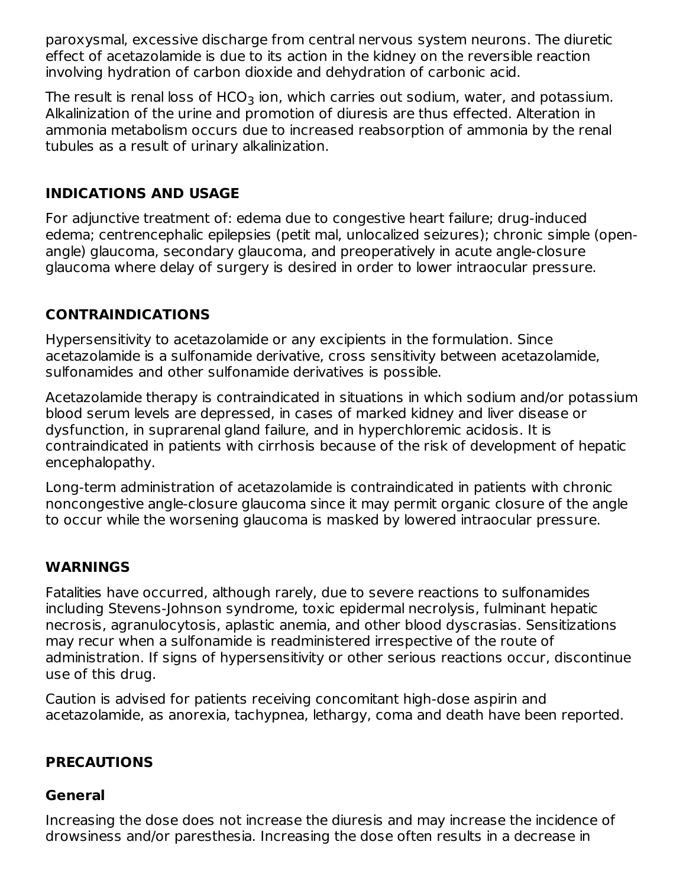paroxysmal, excessive discharge from central nervous system neurons. The diuretic effect of acetazolamide is due to its action in the kidney on the reversible reaction involving hydration of carbon dioxide and dehydration of carbonic acid.

The result is renal loss of HCO $_3$  ion, which carries out sodium, water, and potassium. Alkalinization of the urine and promotion of diuresis are thus effected. Alteration in ammonia metabolism occurs due to increased reabsorption of ammonia by the renal tubules as a result of urinary alkalinization.

#### **INDICATIONS AND USAGE**

For adjunctive treatment of: edema due to congestive heart failure; drug-induced edema; centrencephalic epilepsies (petit mal, unlocalized seizures); chronic simple (openangle) glaucoma, secondary glaucoma, and preoperatively in acute angle-closure glaucoma where delay of surgery is desired in order to lower intraocular pressure.

# **CONTRAINDICATIONS**

Hypersensitivity to acetazolamide or any excipients in the formulation. Since acetazolamide is a sulfonamide derivative, cross sensitivity between acetazolamide, sulfonamides and other sulfonamide derivatives is possible.

Acetazolamide therapy is contraindicated in situations in which sodium and/or potassium blood serum levels are depressed, in cases of marked kidney and liver disease or dysfunction, in suprarenal gland failure, and in hyperchloremic acidosis. It is contraindicated in patients with cirrhosis because of the risk of development of hepatic encephalopathy.

Long-term administration of acetazolamide is contraindicated in patients with chronic noncongestive angle-closure glaucoma since it may permit organic closure of the angle to occur while the worsening glaucoma is masked by lowered intraocular pressure.

#### **WARNINGS**

Fatalities have occurred, although rarely, due to severe reactions to sulfonamides including Stevens-Johnson syndrome, toxic epidermal necrolysis, fulminant hepatic necrosis, agranulocytosis, aplastic anemia, and other blood dyscrasias. Sensitizations may recur when a sulfonamide is readministered irrespective of the route of administration. If signs of hypersensitivity or other serious reactions occur, discontinue use of this drug.

Caution is advised for patients receiving concomitant high-dose aspirin and acetazolamide, as anorexia, tachypnea, lethargy, coma and death have been reported.

# **PRECAUTIONS**

#### **General**

Increasing the dose does not increase the diuresis and may increase the incidence of drowsiness and/or paresthesia. Increasing the dose often results in a decrease in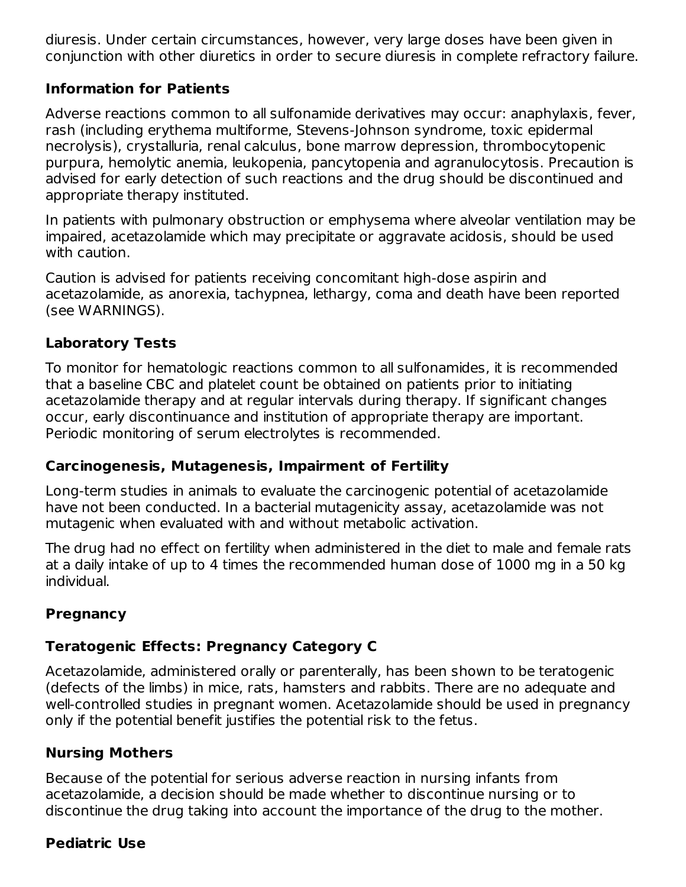diuresis. Under certain circumstances, however, very large doses have been given in conjunction with other diuretics in order to secure diuresis in complete refractory failure.

#### **Information for Patients**

Adverse reactions common to all sulfonamide derivatives may occur: anaphylaxis, fever, rash (including erythema multiforme, Stevens-Johnson syndrome, toxic epidermal necrolysis), crystalluria, renal calculus, bone marrow depression, thrombocytopenic purpura, hemolytic anemia, leukopenia, pancytopenia and agranulocytosis. Precaution is advised for early detection of such reactions and the drug should be discontinued and appropriate therapy instituted.

In patients with pulmonary obstruction or emphysema where alveolar ventilation may be impaired, acetazolamide which may precipitate or aggravate acidosis, should be used with caution.

Caution is advised for patients receiving concomitant high-dose aspirin and acetazolamide, as anorexia, tachypnea, lethargy, coma and death have been reported (see WARNINGS).

# **Laboratory Tests**

To monitor for hematologic reactions common to all sulfonamides, it is recommended that a baseline CBC and platelet count be obtained on patients prior to initiating acetazolamide therapy and at regular intervals during therapy. If significant changes occur, early discontinuance and institution of appropriate therapy are important. Periodic monitoring of serum electrolytes is recommended.

# **Carcinogenesis, Mutagenesis, Impairment of Fertility**

Long-term studies in animals to evaluate the carcinogenic potential of acetazolamide have not been conducted. In a bacterial mutagenicity assay, acetazolamide was not mutagenic when evaluated with and without metabolic activation.

The drug had no effect on fertility when administered in the diet to male and female rats at a daily intake of up to 4 times the recommended human dose of 1000 mg in a 50 kg individual.

# **Pregnancy**

# **Teratogenic Effects: Pregnancy Category C**

Acetazolamide, administered orally or parenterally, has been shown to be teratogenic (defects of the limbs) in mice, rats, hamsters and rabbits. There are no adequate and well-controlled studies in pregnant women. Acetazolamide should be used in pregnancy only if the potential benefit justifies the potential risk to the fetus.

# **Nursing Mothers**

Because of the potential for serious adverse reaction in nursing infants from acetazolamide, a decision should be made whether to discontinue nursing or to discontinue the drug taking into account the importance of the drug to the mother.

# **Pediatric Use**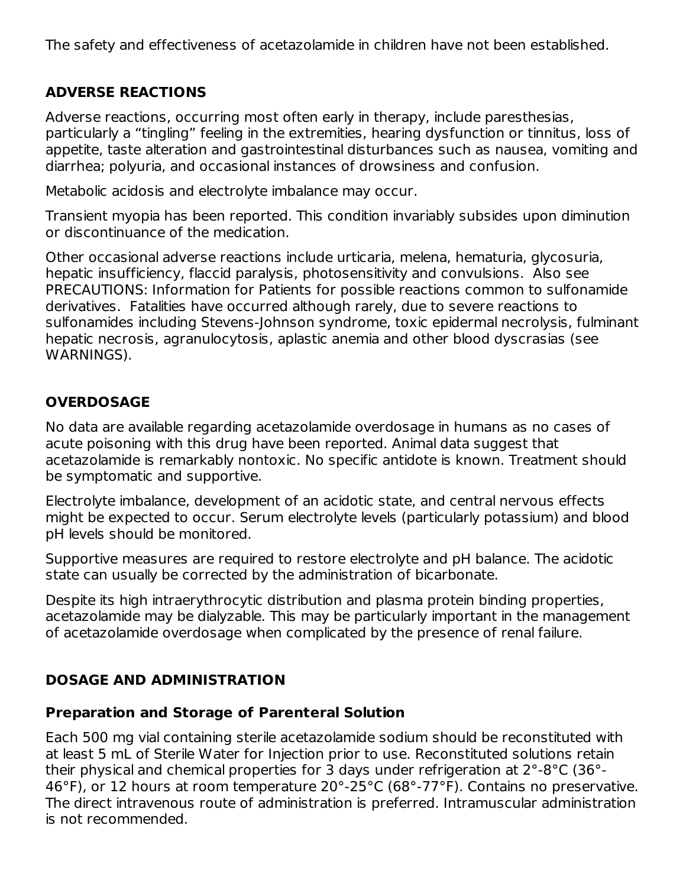The safety and effectiveness of acetazolamide in children have not been established.

#### **ADVERSE REACTIONS**

Adverse reactions, occurring most often early in therapy, include paresthesias, particularly a "tingling" feeling in the extremities, hearing dysfunction or tinnitus, loss of appetite, taste alteration and gastrointestinal disturbances such as nausea, vomiting and diarrhea; polyuria, and occasional instances of drowsiness and confusion.

Metabolic acidosis and electrolyte imbalance may occur.

Transient myopia has been reported. This condition invariably subsides upon diminution or discontinuance of the medication.

Other occasional adverse reactions include urticaria, melena, hematuria, glycosuria, hepatic insufficiency, flaccid paralysis, photosensitivity and convulsions. Also see PRECAUTIONS: Information for Patients for possible reactions common to sulfonamide derivatives. Fatalities have occurred although rarely, due to severe reactions to sulfonamides including Stevens-Johnson syndrome, toxic epidermal necrolysis, fulminant hepatic necrosis, agranulocytosis, aplastic anemia and other blood dyscrasias (see WARNINGS).

# **OVERDOSAGE**

No data are available regarding acetazolamide overdosage in humans as no cases of acute poisoning with this drug have been reported. Animal data suggest that acetazolamide is remarkably nontoxic. No specific antidote is known. Treatment should be symptomatic and supportive.

Electrolyte imbalance, development of an acidotic state, and central nervous effects might be expected to occur. Serum electrolyte levels (particularly potassium) and blood pH levels should be monitored.

Supportive measures are required to restore electrolyte and pH balance. The acidotic state can usually be corrected by the administration of bicarbonate.

Despite its high intraerythrocytic distribution and plasma protein binding properties, acetazolamide may be dialyzable. This may be particularly important in the management of acetazolamide overdosage when complicated by the presence of renal failure.

# **DOSAGE AND ADMINISTRATION**

#### **Preparation and Storage of Parenteral Solution**

Each 500 mg vial containing sterile acetazolamide sodium should be reconstituted with at least 5 mL of Sterile Water for Injection prior to use. Reconstituted solutions retain their physical and chemical properties for 3 days under refrigeration at 2°-8°C (36°- 46°F), or 12 hours at room temperature 20°-25°C (68°-77°F). Contains no preservative. The direct intravenous route of administration is preferred. Intramuscular administration is not recommended.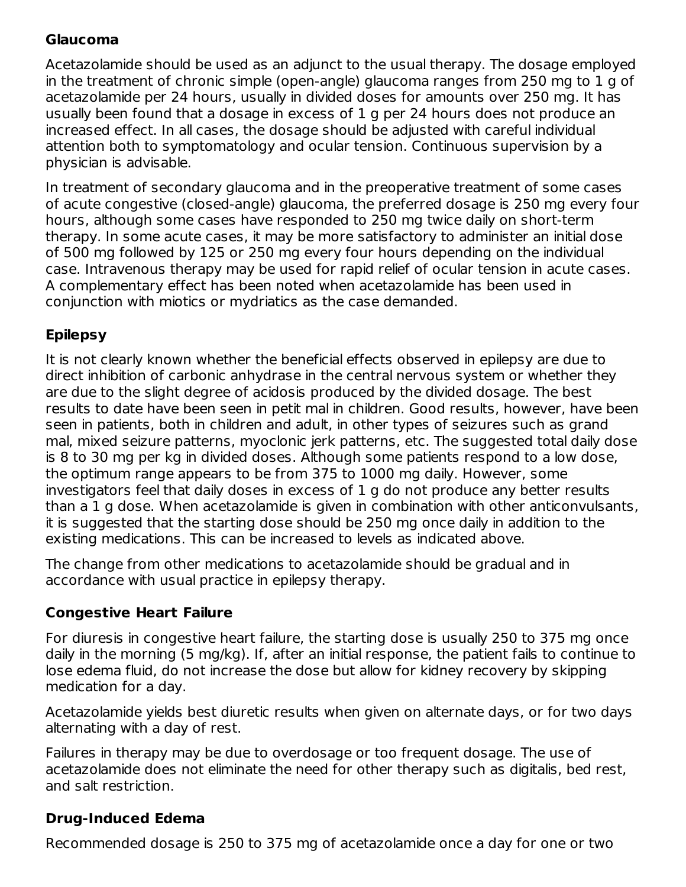# **Glaucoma**

Acetazolamide should be used as an adjunct to the usual therapy. The dosage employed in the treatment of chronic simple (open-angle) glaucoma ranges from 250 mg to 1 g of acetazolamide per 24 hours, usually in divided doses for amounts over 250 mg. It has usually been found that a dosage in excess of 1 g per 24 hours does not produce an increased effect. In all cases, the dosage should be adjusted with careful individual attention both to symptomatology and ocular tension. Continuous supervision by a physician is advisable.

In treatment of secondary glaucoma and in the preoperative treatment of some cases of acute congestive (closed-angle) glaucoma, the preferred dosage is 250 mg every four hours, although some cases have responded to 250 mg twice daily on short-term therapy. In some acute cases, it may be more satisfactory to administer an initial dose of 500 mg followed by 125 or 250 mg every four hours depending on the individual case. Intravenous therapy may be used for rapid relief of ocular tension in acute cases. A complementary effect has been noted when acetazolamide has been used in conjunction with miotics or mydriatics as the case demanded.

# **Epilepsy**

It is not clearly known whether the beneficial effects observed in epilepsy are due to direct inhibition of carbonic anhydrase in the central nervous system or whether they are due to the slight degree of acidosis produced by the divided dosage. The best results to date have been seen in petit mal in children. Good results, however, have been seen in patients, both in children and adult, in other types of seizures such as grand mal, mixed seizure patterns, myoclonic jerk patterns, etc. The suggested total daily dose is 8 to 30 mg per kg in divided doses. Although some patients respond to a low dose, the optimum range appears to be from 375 to 1000 mg daily. However, some investigators feel that daily doses in excess of 1 g do not produce any better results than a 1 g dose. When acetazolamide is given in combination with other anticonvulsants, it is suggested that the starting dose should be 250 mg once daily in addition to the existing medications. This can be increased to levels as indicated above.

The change from other medications to acetazolamide should be gradual and in accordance with usual practice in epilepsy therapy.

# **Congestive Heart Failure**

For diuresis in congestive heart failure, the starting dose is usually 250 to 375 mg once daily in the morning (5 mg/kg). If, after an initial response, the patient fails to continue to lose edema fluid, do not increase the dose but allow for kidney recovery by skipping medication for a day.

Acetazolamide yields best diuretic results when given on alternate days, or for two days alternating with a day of rest.

Failures in therapy may be due to overdosage or too frequent dosage. The use of acetazolamide does not eliminate the need for other therapy such as digitalis, bed rest, and salt restriction.

# **Drug-Induced Edema**

Recommended dosage is 250 to 375 mg of acetazolamide once a day for one or two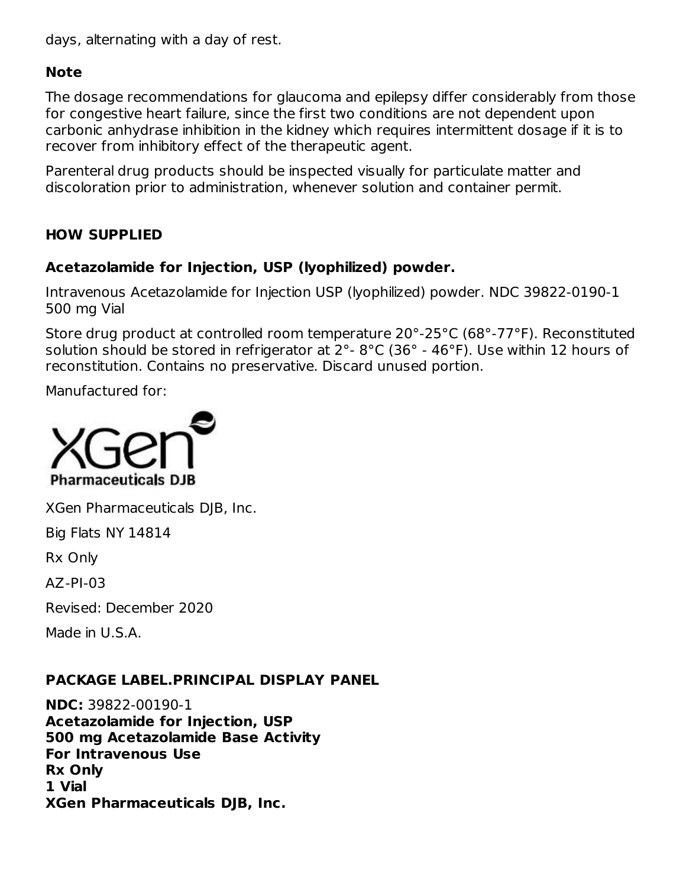days, alternating with a day of rest.

#### **Note**

The dosage recommendations for glaucoma and epilepsy differ considerably from those for congestive heart failure, since the first two conditions are not dependent upon carbonic anhydrase inhibition in the kidney which requires intermittent dosage if it is to recover from inhibitory effect of the therapeutic agent.

Parenteral drug products should be inspected visually for particulate matter and discoloration prior to administration, whenever solution and container permit.

# **HOW SUPPLIED**

# **Acetazolamide for Injection, USP (lyophilized) powder.**

Intravenous Acetazolamide for Injection USP (lyophilized) powder. NDC 39822-0190-1 500 mg Vial

Store drug product at controlled room temperature 20°-25°C (68°-77°F). Reconstituted solution should be stored in refrigerator at 2°- 8°C (36° - 46°F). Use within 12 hours of reconstitution. Contains no preservative. Discard unused portion.

Manufactured for:



XGen Pharmaceuticals DJB, Inc.

Big Flats NY 14814

Rx Only

AZ-PI-03

Revised: December 2020

Made in U.S.A.

# **PACKAGE LABEL.PRINCIPAL DISPLAY PANEL**

**NDC:** 39822-00190-1 **Acetazolamide for Injection, USP 500 mg Acetazolamide Base Activity For Intravenous Use Rx Only 1 Vial XGen Pharmaceuticals DJB, Inc.**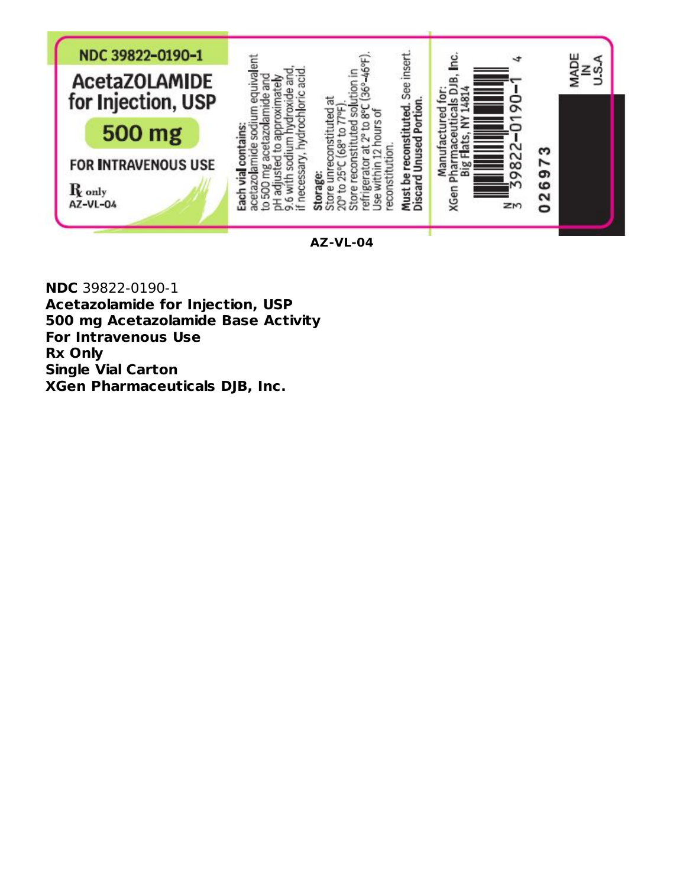

**AZ-VL-04**

**NDC** 39822-0190-1 **Acetazolamide for Injection, USP 500 mg Acetazolamide Base Activity For Intravenous Use Rx Only Single Vial Carton XGen Pharmaceuticals DJB, Inc.**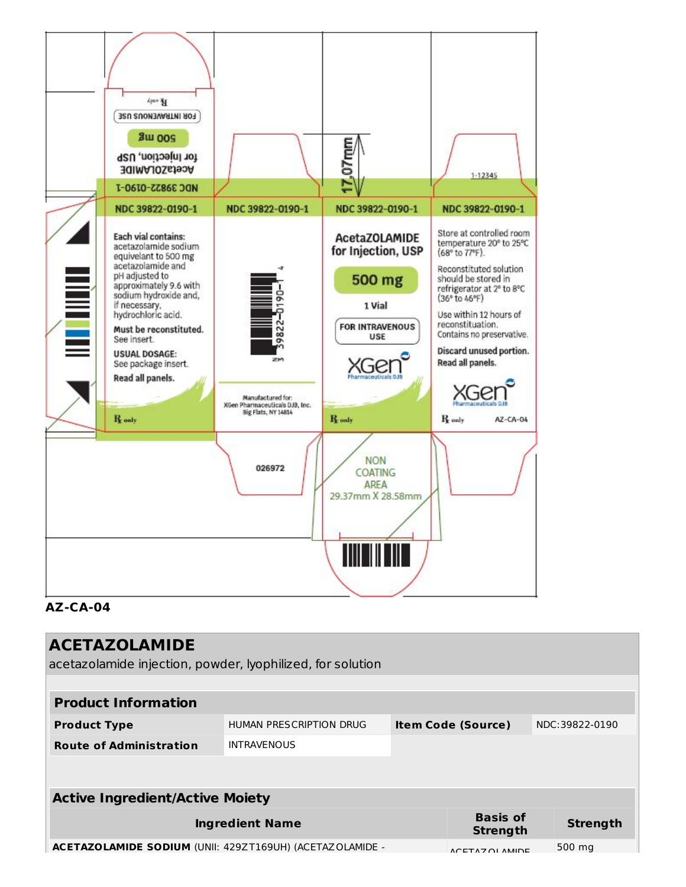

#### **AZ-CA-04**

| <b>ACETAZOLAMIDE</b><br>acetazolamide injection, powder, lyophilized, for solution |                         |                           |                                    |                |                 |  |  |  |
|------------------------------------------------------------------------------------|-------------------------|---------------------------|------------------------------------|----------------|-----------------|--|--|--|
| <b>Product Information</b>                                                         |                         |                           |                                    |                |                 |  |  |  |
| <b>Product Type</b>                                                                | HUMAN PRESCRIPTION DRUG | <b>Item Code (Source)</b> |                                    | NDC:39822-0190 |                 |  |  |  |
| <b>Route of Administration</b>                                                     | <b>INTRAVENOUS</b>      |                           |                                    |                |                 |  |  |  |
|                                                                                    |                         |                           |                                    |                |                 |  |  |  |
| <b>Active Ingredient/Active Moiety</b>                                             |                         |                           |                                    |                |                 |  |  |  |
| <b>Ingredient Name</b>                                                             |                         |                           | <b>Basis of</b><br><b>Strength</b> |                | <b>Strength</b> |  |  |  |
| ACETAZOLAMIDE SODIUM (UNII: 429ZT169UH) (ACETAZOLAMIDE -                           |                         |                           | ACETAZOI AMIDE                     |                | 500 mg          |  |  |  |